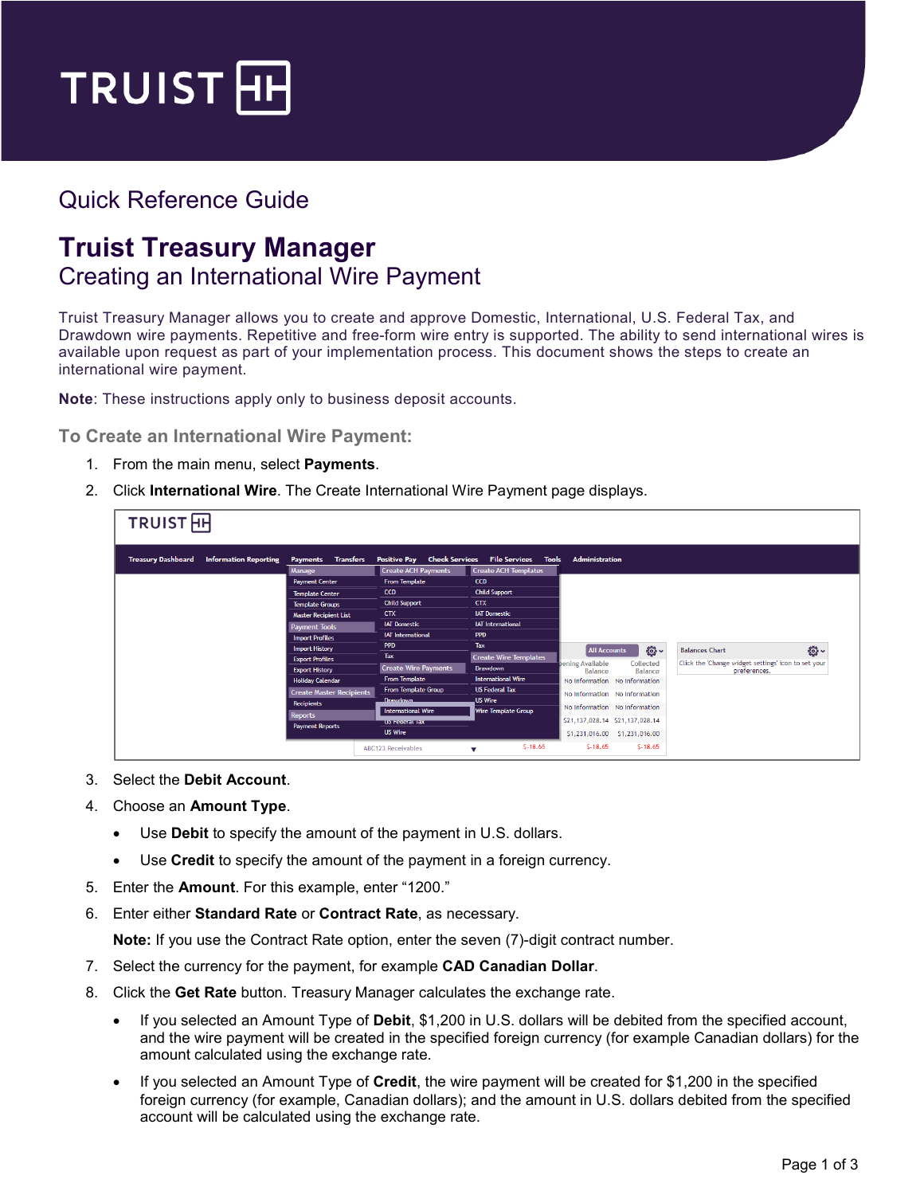

## Quick Reference Guide

## **Truist Treasury Manager** Creating an International Wire Payment

Truist Treasury Manager allows you to create and approve Domestic, International, U.S. Federal Tax, and Drawdown wire payments. Repetitive and free-form wire entry is supported. The ability to send international wires is available upon request as part of your implementation process. This document shows the steps to create an international wire payment.

**Note**: These instructions apply only to business deposit accounts.

**To Create an International Wire Payment:**

- 1. From the main menu, select **Payments**.
- 2. Click **International Wire**. The Create International Wire Payment page displays.

| <b>TRUIST</b> HH          |                              |                                               |                                                                  |                                                    |                                          |                                                     |  |
|---------------------------|------------------------------|-----------------------------------------------|------------------------------------------------------------------|----------------------------------------------------|------------------------------------------|-----------------------------------------------------|--|
| <b>Treasury Dashboard</b> | <b>Information Reporting</b> | <b>Transfers</b><br><b>Payments</b><br>Manage | <b>Positive Pay Check Services</b><br><b>Create ACH Payments</b> | File Services Tools<br><b>Create ACH Templates</b> | Administration                           |                                                     |  |
|                           |                              | <b>Payment Center</b>                         | <b>From Template</b>                                             | <b>CCD</b>                                         |                                          |                                                     |  |
|                           |                              | <b>Template Center</b>                        | <b>CCD</b>                                                       | <b>Child Support</b>                               |                                          |                                                     |  |
|                           |                              | <b>Template Groups</b>                        | <b>Child Support</b>                                             | <b>CTX</b>                                         |                                          |                                                     |  |
|                           |                              | <b>Master Recipient List</b>                  | <b>CTX</b>                                                       | <b>IAT Domestic</b>                                |                                          |                                                     |  |
|                           |                              | <b>Payment Tools</b>                          | <b>IAT Domestic</b>                                              | <b>IAT International</b>                           |                                          |                                                     |  |
|                           |                              | <b>Import Profiles</b>                        | <b>IAT International</b>                                         | <b>PPD</b>                                         |                                          |                                                     |  |
|                           |                              | <b>Import History</b>                         | <b>PPD</b>                                                       | Tax                                                | <u> શુજ્</u> ઞે ~<br><b>All Accounts</b> | <b>ES</b><br><b>Balances Chart</b>                  |  |
|                           |                              | <b>Export Profiles</b>                        | Tax                                                              | <b>Create Wire Templates</b>                       | bening Available<br>Collected            | Click the 'Change widget settings' icon to set your |  |
|                           |                              | <b>Export History</b>                         | <b>Create Wire Payments</b>                                      | <b>Drawdown</b>                                    | Balance<br>Balance                       | preferences.                                        |  |
|                           |                              | <b>Holiday Calendar</b>                       | <b>From Template</b>                                             | <b>International Wire</b>                          | No Information No Information            |                                                     |  |
|                           |                              | <b>Create Master Recipients</b>               | <b>From Template Group</b>                                       | <b>US Federal Tax</b>                              | No Information No Information            |                                                     |  |
|                           |                              | <b>Recipients</b>                             | Drawdown                                                         | <b>US Wire</b>                                     | No Information No Information            |                                                     |  |
|                           |                              | <b>Reports</b>                                | <b>International Wire</b>                                        | Wire Template Group                                |                                          |                                                     |  |
|                           |                              | <b>Payment Reports</b>                        | US Federal Tax                                                   |                                                    | \$21,137,028.14 \$21,137,028.14          |                                                     |  |
|                           |                              |                                               | <b>US Wire</b>                                                   |                                                    | \$1,231,016.00 \$1,231,016.00            |                                                     |  |
|                           |                              |                                               | ABC123 Receivables                                               | $S-18.65$<br>$\overline{\phantom{a}}$              | $S-18.65$<br>$S-18.65$                   |                                                     |  |

- 3. Select the **Debit Account**.
- 4. Choose an **Amount Type**.
	- Use **Debit** to specify the amount of the payment in U.S. dollars.
	- Use **Credit** to specify the amount of the payment in a foreign currency.
- 5. Enter the **Amount**. For this example, enter "1200."
- 6. Enter either **Standard Rate** or **Contract Rate**, as necessary.

**Note:** If you use the Contract Rate option, enter the seven (7)-digit contract number.

- 7. Select the currency for the payment, for example **CAD Canadian Dollar**.
- 8. Click the **Get Rate** button. Treasury Manager calculates the exchange rate.
	- If you selected an Amount Type of **Debit**, \$1,200 in U.S. dollars will be debited from the specified account, and the wire payment will be created in the specified foreign currency (for example Canadian dollars) for the amount calculated using the exchange rate.
	- If you selected an Amount Type of **Credit**, the wire payment will be created for \$1,200 in the specified foreign currency (for example, Canadian dollars); and the amount in U.S. dollars debited from the specified account will be calculated using the exchange rate.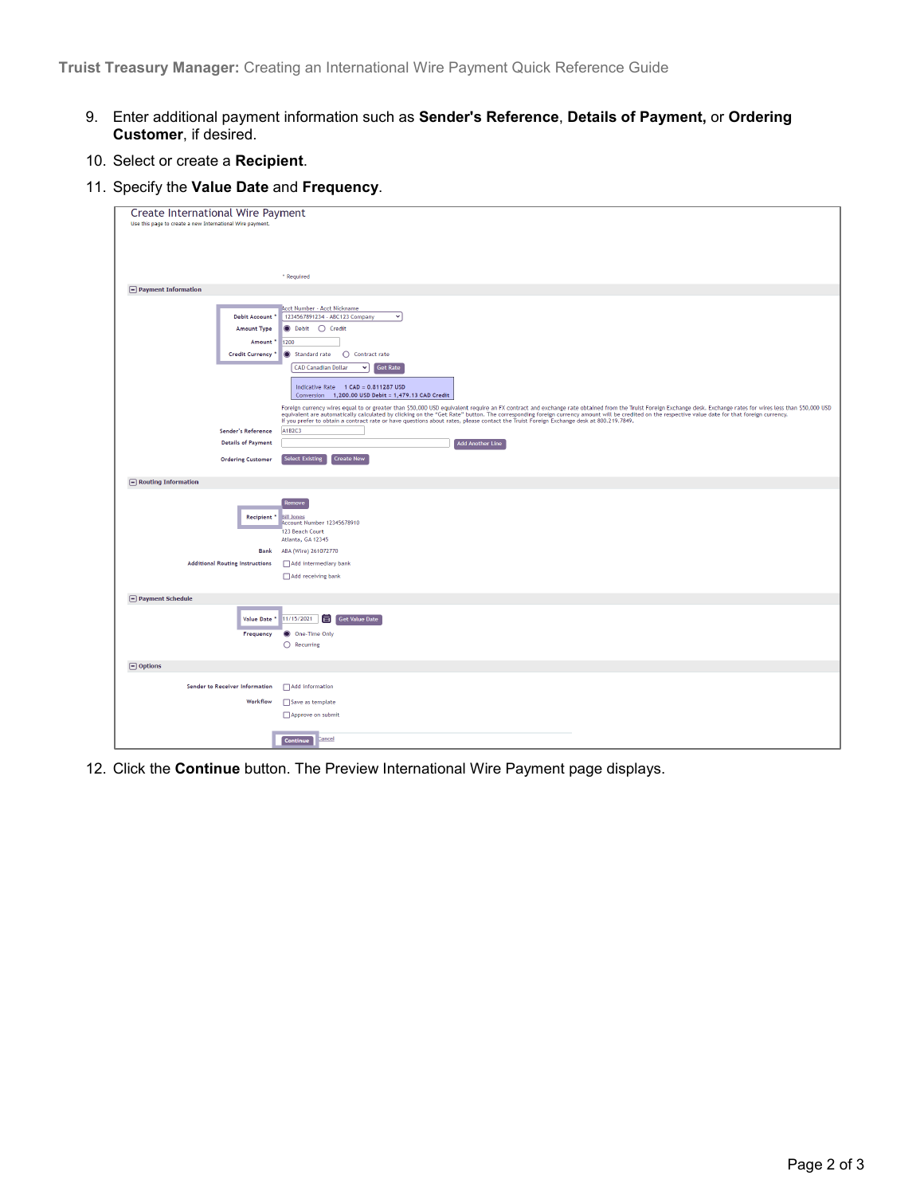- 9. Enter additional payment information such as **Sender's Reference**, **Details of Payment,** or **Ordering Customer**, if desired.
- 10. Select or create a **Recipient**.
- 11. Specify the **Value Date** and **Frequency**.

| <b>Create International Wire Payment</b>                  |                                                                                                                                                                                                                                                                                                                                             |  |  |  |  |  |
|-----------------------------------------------------------|---------------------------------------------------------------------------------------------------------------------------------------------------------------------------------------------------------------------------------------------------------------------------------------------------------------------------------------------|--|--|--|--|--|
| Use this page to create a new International Wire payment. |                                                                                                                                                                                                                                                                                                                                             |  |  |  |  |  |
|                                                           |                                                                                                                                                                                                                                                                                                                                             |  |  |  |  |  |
|                                                           |                                                                                                                                                                                                                                                                                                                                             |  |  |  |  |  |
|                                                           | * Required                                                                                                                                                                                                                                                                                                                                  |  |  |  |  |  |
| $\Box$ Payment Information                                |                                                                                                                                                                                                                                                                                                                                             |  |  |  |  |  |
|                                                           | Acct Number - Acct Nickname                                                                                                                                                                                                                                                                                                                 |  |  |  |  |  |
| Debit Account                                             | 1234567891234 - ABC123 Company<br>$\checkmark$                                                                                                                                                                                                                                                                                              |  |  |  |  |  |
| <b>Amount Type</b>                                        | <b>●</b> Debit ● Credit                                                                                                                                                                                                                                                                                                                     |  |  |  |  |  |
| Amount <sup>*</sup>                                       | 1200                                                                                                                                                                                                                                                                                                                                        |  |  |  |  |  |
| Credit Currency                                           | Standard rate<br>◯ Contract rate<br><b>Get Rate</b><br><b>CAD Canadian Dollar</b><br>$\checkmark$                                                                                                                                                                                                                                           |  |  |  |  |  |
|                                                           |                                                                                                                                                                                                                                                                                                                                             |  |  |  |  |  |
|                                                           | Indicative Rate 1 CAD = 0.811287 USD<br>Conversion 1,200.00 USD Debit = 1,479.13 CAD Credit                                                                                                                                                                                                                                                 |  |  |  |  |  |
|                                                           | Foreign currency wires equal to or greater than \$50,000 USD equivalent require an FX contract and exchange rate obtained from the Truist Foreign Exchange desk. Exchange rates for wires less than \$50,000 USD                                                                                                                            |  |  |  |  |  |
|                                                           | equivalent are automatically calculated by clicking on the "Get Rate" button. The corresponding foreign currency amount will be credited on the respective value date for that foreign currency.<br>If you prefer to obtain a contract rate or have questions about rates, please contact the Truist Foreign Exchange desk at 800.219.7849. |  |  |  |  |  |
| Sender's Reference                                        | A1B2C3                                                                                                                                                                                                                                                                                                                                      |  |  |  |  |  |
| <b>Details of Payment</b>                                 | <b>Add Another Line</b>                                                                                                                                                                                                                                                                                                                     |  |  |  |  |  |
| <b>Ordering Customer</b>                                  | <b>Select Existing</b><br><b>Create New</b>                                                                                                                                                                                                                                                                                                 |  |  |  |  |  |
| $\boxed{-}$ Routing Information                           |                                                                                                                                                                                                                                                                                                                                             |  |  |  |  |  |
|                                                           | Remove                                                                                                                                                                                                                                                                                                                                      |  |  |  |  |  |
| Recipient <sup>*</sup>                                    | <b>Bill Jones</b>                                                                                                                                                                                                                                                                                                                           |  |  |  |  |  |
|                                                           | Account Number 12345678910<br>123 Beach Court                                                                                                                                                                                                                                                                                               |  |  |  |  |  |
|                                                           | Atlanta, GA 12345                                                                                                                                                                                                                                                                                                                           |  |  |  |  |  |
| <b>Bank</b>                                               | ABA (Wire) 261072770                                                                                                                                                                                                                                                                                                                        |  |  |  |  |  |
| <b>Additional Routing Instructions</b>                    | Add intermediary bank                                                                                                                                                                                                                                                                                                                       |  |  |  |  |  |
|                                                           | Add receiving bank                                                                                                                                                                                                                                                                                                                          |  |  |  |  |  |
| $\Box$ Payment Schedule                                   |                                                                                                                                                                                                                                                                                                                                             |  |  |  |  |  |
| Value Date                                                | 11/15/2021<br>同<br>Get Value Date                                                                                                                                                                                                                                                                                                           |  |  |  |  |  |
| Frequency                                                 | One-Time Only<br>O                                                                                                                                                                                                                                                                                                                          |  |  |  |  |  |
|                                                           | $\bigcirc$ Recurring                                                                                                                                                                                                                                                                                                                        |  |  |  |  |  |
|                                                           |                                                                                                                                                                                                                                                                                                                                             |  |  |  |  |  |
| $\Box$ Options                                            |                                                                                                                                                                                                                                                                                                                                             |  |  |  |  |  |
| Sender to Receiver Information                            | Add information                                                                                                                                                                                                                                                                                                                             |  |  |  |  |  |
| Workflow                                                  | Save as template                                                                                                                                                                                                                                                                                                                            |  |  |  |  |  |
|                                                           | Approve on submit                                                                                                                                                                                                                                                                                                                           |  |  |  |  |  |
|                                                           |                                                                                                                                                                                                                                                                                                                                             |  |  |  |  |  |
|                                                           | Cancel<br>Continue                                                                                                                                                                                                                                                                                                                          |  |  |  |  |  |

12. Click the **Continue** button. The Preview International Wire Payment page displays.